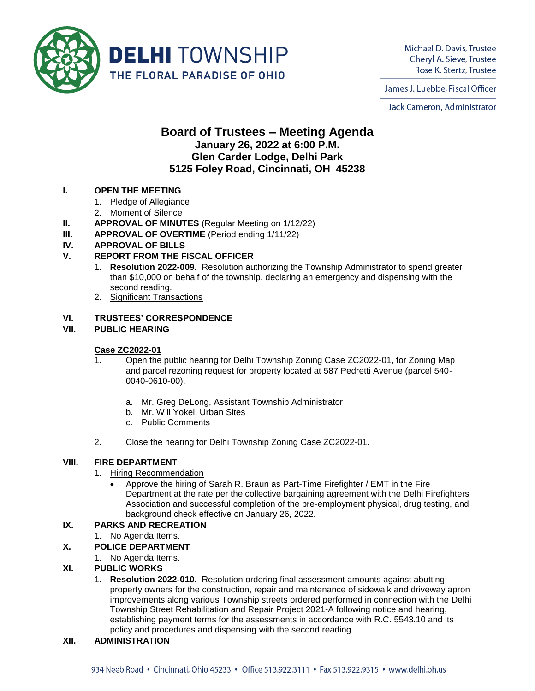

Michael D. Davis, Trustee Cheryl A. Sieve, Trustee Rose K. Stertz, Trustee

James J. Luebbe, Fiscal Officer

Jack Cameron, Administrator

# **Board of Trustees – Meeting Agenda January 26, 2022 at 6:00 P.M. Glen Carder Lodge, Delhi Park 5125 Foley Road, Cincinnati, OH 45238**

# **I. OPEN THE MEETING**

- 1. Pledge of Allegiance
- 2. Moment of Silence
- **II. APPROVAL OF MINUTES** (Regular Meeting on 1/12/22)
- **III. APPROVAL OF OVERTIME** (Period ending 1/11/22)

# **IV. APPROVAL OF BILLS**

# **V. REPORT FROM THE FISCAL OFFICER**

- 1. **Resolution 2022-009.** Resolution authorizing the Township Administrator to spend greater than \$10,000 on behalf of the township, declaring an emergency and dispensing with the second reading.
- 2. Significant Transactions

# **VI. TRUSTEES' CORRESPONDENCE**

## **VII. PUBLIC HEARING**

## **Case ZC2022-01**

- 1. Open the public hearing for Delhi Township Zoning Case ZC2022-01, for Zoning Map and parcel rezoning request for property located at 587 Pedretti Avenue (parcel 540- 0040-0610-00).
	- a. Mr. Greg DeLong, Assistant Township Administrator
	- b. Mr. Will Yokel, Urban Sites
	- c. Public Comments
- 2. Close the hearing for Delhi Township Zoning Case ZC2022-01.

## **VIII. FIRE DEPARTMENT**

## 1. Hiring Recommendation

• Approve the hiring of Sarah R. Braun as Part-Time Firefighter / EMT in the Fire Department at the rate per the collective bargaining agreement with the Delhi Firefighters Association and successful completion of the pre-employment physical, drug testing, and background check effective on January 26, 2022.

# **IX. PARKS AND RECREATION**

1. No Agenda Items.

## **X. POLICE DEPARTMENT**

1. No Agenda Items.

## **XI. PUBLIC WORKS**

1. **Resolution 2022-010.** Resolution ordering final assessment amounts against abutting property owners for the construction, repair and maintenance of sidewalk and driveway apron improvements along various Township streets ordered performed in connection with the Delhi Township Street Rehabilitation and Repair Project 2021-A following notice and hearing, establishing payment terms for the assessments in accordance with R.C. 5543.10 and its policy and procedures and dispensing with the second reading.

## **XII. ADMINISTRATION**